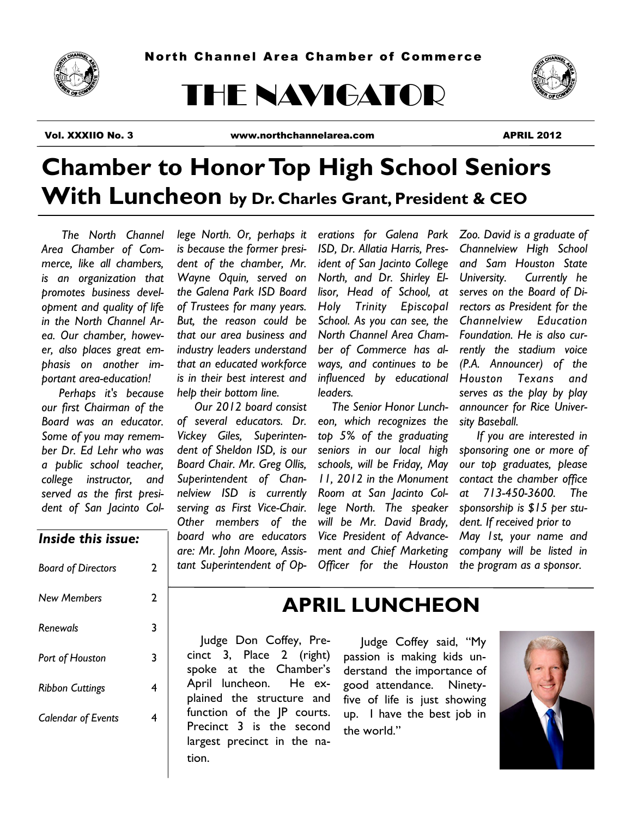

# THE NAVIGATOR



Vol. XXXIIO No. 3 www.northchannelarea.com APRIL 2012

# **Chamber to Honor Top High School Seniors With Luncheon by Dr. Charles Grant, President & CEO**

 *The North Channel Area Chamber of Commerce, like all chambers, is an organization that promotes business development and quality of life in the North Channel Area. Our chamber, however, also places great emphasis on another important area-education!* 

 *Perhaps it's because our first Chairman of the Board was an educator. Some of you may remember Dr. Ed Lehr who was a public school teacher, college instructor, and served as the first president of San Jacinto Col-* *lege North. Or, perhaps it is because the former president of the chamber, Mr. Wayne Oquin, served on the Galena Park ISD Board of Trustees for many years. But, the reason could be that our area business and industry leaders understand that an educated workforce is in their best interest and help their bottom line.* 

 *Our 2012 board consist of several educators. Dr. Vickey Giles, Superintendent of Sheldon ISD, is our Board Chair. Mr. Greg Ollis, Superintendent of Channelview ISD is currently serving as First Vice-Chair. Other members of the board who are educators are: Mr. John Moore, Assis-* *erations for Galena Park ISD, Dr. Allatia Harris, President of San Jacinto College North, and Dr. Shirley Ellisor, Head of School, at Holy Trinity Episcopal School. As you can see, the North Channel Area Chamber of Commerce has always, and continues to be influenced by educational leaders.*

*tant Superintendent of Op-Officer for the Houston The Senior Honor Luncheon, which recognizes the top 5% of the graduating seniors in our local high schools, will be Friday, May 11, 2012 in the Monument Room at San Jacinto College North. The speaker will be Mr. David Brady, Vice President of Advancement and Chief Marketing* 

*Zoo. David is a graduate of Channelview High School and Sam Houston State University. Currently he serves on the Board of Directors as President for the Channelview Education Foundation. He is also currently the stadium voice (P.A. Announcer) of the Houston Texans and serves as the play by play announcer for Rice University Baseball.*

 *If you are interested in sponsoring one or more of our top graduates, please contact the chamber office at 713-450-3600. The sponsorship is \$15 per student. If received prior to May 1st, your name and company will be listed in the program as a sponsor.*

### *Inside this issue:*

| <b>Board of Directors</b> | 2 |
|---------------------------|---|
| <b>New Members</b>        | 2 |
| Renewals                  | 3 |
| Port of Houston           | 3 |
| <b>Ribbon Cuttings</b>    | 4 |
| <b>Calendar of Events</b> | 4 |
|                           |   |

## **APRIL LUNCHEON**

 Judge Don Coffey, Precinct 3, Place 2 (right) spoke at the Chamber's April luncheon. He explained the structure and function of the JP courts. Precinct 3 is the second largest precinct in the nation.

### Judge Coffey said, "My passion is making kids understand the importance of good attendance. Ninetyfive of life is just showing up. I have the best job in the world."

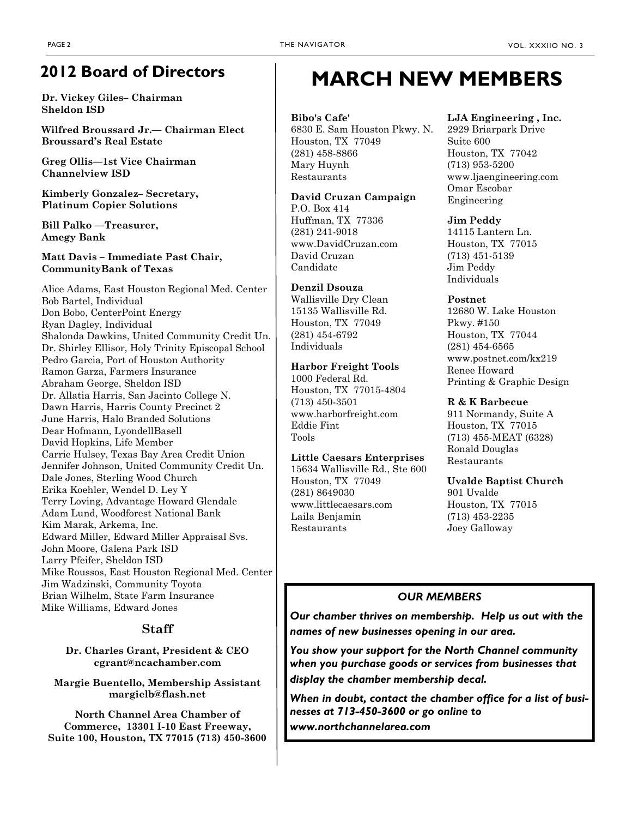## **2012 Board of Directors**

**Dr. Vickey Giles– Chairman Sheldon ISD**

**Wilfred Broussard Jr.— Chairman Elect Broussard's Real Estate**

**Greg Ollis—1st Vice Chairman Channelview ISD**

**Kimberly Gonzalez– Secretary, Platinum Copier Solutions**

**Bill Palko —Treasurer, Amegy Bank**

**Matt Davis – Immediate Past Chair, CommunityBank of Texas**

Alice Adams, East Houston Regional Med. Center Bob Bartel, Individual Don Bobo, CenterPoint Energy Ryan Dagley, Individual Shalonda Dawkins, United Community Credit Un. Dr. Shirley Ellisor, Holy Trinity Episcopal School Pedro Garcia, Port of Houston Authority Ramon Garza, Farmers Insurance Abraham George, Sheldon ISD Dr. Allatia Harris, San Jacinto College N. Dawn Harris, Harris County Precinct 2 June Harris, Halo Branded Solutions Dear Hofmann, LyondellBasell David Hopkins, Life Member Carrie Hulsey, Texas Bay Area Credit Union Jennifer Johnson, United Community Credit Un. Dale Jones, Sterling Wood Church Erika Koehler, Wendel D. Ley Y Terry Loving, Advantage Howard Glendale Adam Lund, Woodforest National Bank Kim Marak, Arkema, Inc. Edward Miller, Edward Miller Appraisal Svs. John Moore, Galena Park ISD Larry Pfeifer, Sheldon ISD Mike Roussos, East Houston Regional Med. Center Jim Wadzinski, Community Toyota Brian Wilhelm, State Farm Insurance Mike Williams, Edward Jones

### **Staff**

**Dr. Charles Grant, President & CEO cgrant@ncachamber.com**

**Margie Buentello, Membership Assistant margielb@flash.net**

**North Channel Area Chamber of Commerce, 13301 I-10 East Freeway, Suite 100, Houston, TX 77015 (713) 450-3600**

## **MARCH NEW MEMBERS**

**Bibo's Cafe'**  6830 E. Sam Houston Pkwy. N. Houston, TX 77049 (281) 458-8866 Mary Huynh Restaurants

**David Cruzan Campaign**  P.O. Box 414 Huffman, TX 77336 (281) 241-9018 www.DavidCruzan.com David Cruzan Candidate

**Denzil Dsouza**  Wallisville Dry Clean 15135 Wallisville Rd. Houston, TX 77049 (281) 454-6792 Individuals

**Harbor Freight Tools**  1000 Federal Rd. Houston, TX 77015-4804 (713) 450-3501 www.harborfreight.com Eddie Fint Tools

**Little Caesars Enterprises**  15634 Wallisville Rd., Ste 600 Houston, TX 77049 (281) 8649030 www.littlecaesars.com Laila Benjamin Restaurants

#### **LJA Engineering , Inc.**

2929 Briarpark Drive Suite 600 Houston, TX 77042 (713) 953-5200 www.ljaengineering.com Omar Escobar Engineering

**Jim Peddy** 

14115 Lantern Ln. Houston, TX 77015 (713) 451-5139 Jim Peddy Individuals

#### **Postnet**

12680 W. Lake Houston Pkwy. #150 Houston, TX 77044 (281) 454-6565 www.postnet.com/kx219 Renee Howard Printing & Graphic Design

#### **R & K Barbecue**

911 Normandy, Suite A Houston, TX 77015 (713) 455-MEAT (6328) Ronald Douglas Restaurants

**Uvalde Baptist Church** 

901 Uvalde Houston, TX 77015 (713) 453-2235 Joey Galloway

### *OUR MEMBERS*

*Our chamber thrives on membership. Help us out with the names of new businesses opening in our area.*

*You show your support for the North Channel community when you purchase goods or services from businesses that display the chamber membership decal.*

*When in doubt, contact the chamber office for a list of businesses at 713-450-3600 or go online to* 

*www.northchannelarea.com*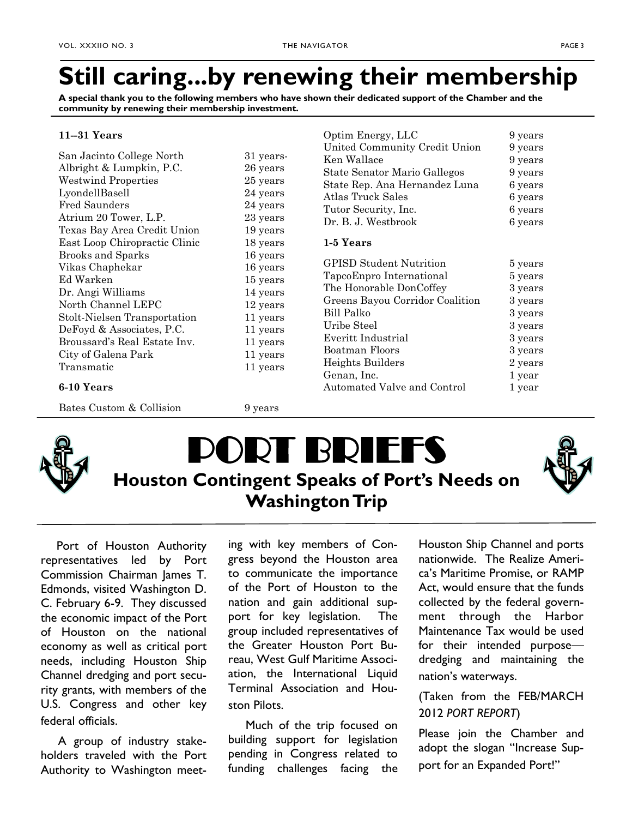# **Still caring...by renewing their membership**

Optim Energy, LLC 9 years

**A special thank you to the following members who have shown their dedicated support of the Chamber and the community by renewing their membership investment.**

#### **11--31 Years**

| San Jacinto College North<br>Albright & Lumpkin, P.C.<br><b>Westwind Properties</b><br>LyondellBasell<br><b>Fred Saunders</b><br>Atrium 20 Tower, L.P.<br>Texas Bay Area Credit Union<br>East Loop Chiropractic Clinic<br><b>Brooks and Sparks</b><br>Vikas Chaphekar<br>Ed Warken<br>Dr. Angi Williams | United Community Credit Union<br>31 years-<br>Ken Wallace<br>26 years<br>State Senator Mario Gallegos<br>25 years<br>State Rep. Ana Hernandez Luna<br>24 years<br>Atlas Truck Sales<br>24 years<br>Tutor Security, Inc.<br>23 years<br>Dr. B. J. Westbrook<br>19 years<br>1-5 Years<br>18 years<br>16 years<br><b>GPISD Student Nutrition</b><br>16 years<br>TapcoEnpro International<br>15 years<br>The Honorable DonCoffey<br>14 years |                                 | 9 years<br>9 years<br>9 years<br>6 years<br>6 years<br>6 years<br>6 years<br>5 years<br>5 years<br>3 years |
|---------------------------------------------------------------------------------------------------------------------------------------------------------------------------------------------------------------------------------------------------------------------------------------------------------|------------------------------------------------------------------------------------------------------------------------------------------------------------------------------------------------------------------------------------------------------------------------------------------------------------------------------------------------------------------------------------------------------------------------------------------|---------------------------------|------------------------------------------------------------------------------------------------------------|
|                                                                                                                                                                                                                                                                                                         |                                                                                                                                                                                                                                                                                                                                                                                                                                          |                                 |                                                                                                            |
|                                                                                                                                                                                                                                                                                                         |                                                                                                                                                                                                                                                                                                                                                                                                                                          |                                 |                                                                                                            |
|                                                                                                                                                                                                                                                                                                         |                                                                                                                                                                                                                                                                                                                                                                                                                                          |                                 |                                                                                                            |
|                                                                                                                                                                                                                                                                                                         |                                                                                                                                                                                                                                                                                                                                                                                                                                          |                                 |                                                                                                            |
|                                                                                                                                                                                                                                                                                                         |                                                                                                                                                                                                                                                                                                                                                                                                                                          |                                 |                                                                                                            |
|                                                                                                                                                                                                                                                                                                         |                                                                                                                                                                                                                                                                                                                                                                                                                                          |                                 |                                                                                                            |
|                                                                                                                                                                                                                                                                                                         |                                                                                                                                                                                                                                                                                                                                                                                                                                          |                                 |                                                                                                            |
| North Channel LEPC                                                                                                                                                                                                                                                                                      | 12 years                                                                                                                                                                                                                                                                                                                                                                                                                                 | Greens Bayou Corridor Coalition | 3 years                                                                                                    |
| Stolt-Nielsen Transportation                                                                                                                                                                                                                                                                            | 11 years                                                                                                                                                                                                                                                                                                                                                                                                                                 | Bill Palko                      | 3 years                                                                                                    |
| DeFoyd & Associates, P.C.                                                                                                                                                                                                                                                                               | 11 years                                                                                                                                                                                                                                                                                                                                                                                                                                 | Uribe Steel                     | 3 years                                                                                                    |
| Broussard's Real Estate Inv.                                                                                                                                                                                                                                                                            | 11 years                                                                                                                                                                                                                                                                                                                                                                                                                                 | Everitt Industrial              | 3 years                                                                                                    |
| City of Galena Park                                                                                                                                                                                                                                                                                     | 11 years                                                                                                                                                                                                                                                                                                                                                                                                                                 | Boatman Floors                  | 3 years                                                                                                    |
| Transmatic                                                                                                                                                                                                                                                                                              |                                                                                                                                                                                                                                                                                                                                                                                                                                          | Heights Builders                | 2 years                                                                                                    |
|                                                                                                                                                                                                                                                                                                         | 11 years                                                                                                                                                                                                                                                                                                                                                                                                                                 | Genan, Inc.                     | 1 year                                                                                                     |
| 6-10 Years                                                                                                                                                                                                                                                                                              |                                                                                                                                                                                                                                                                                                                                                                                                                                          | Automated Valve and Control     | 1 year                                                                                                     |
| Bates Custom & Collision                                                                                                                                                                                                                                                                                | 9 years                                                                                                                                                                                                                                                                                                                                                                                                                                  |                                 |                                                                                                            |



# **DRT BRIEFS Houston Contingent Speaks of Port's Needs on Washington Trip**



 Port of Houston Authority representatives led by Port Commission Chairman James T. Edmonds, visited Washington D. C. February 6-9. They discussed the economic impact of the Port of Houston on the national economy as well as critical port needs, including Houston Ship Channel dredging and port security grants, with members of the U.S. Congress and other key federal officials.

 A group of industry stakeholders traveled with the Port Authority to Washington meet-

ing with key members of Congress beyond the Houston area to communicate the importance of the Port of Houston to the nation and gain additional support for key legislation. The group included representatives of the Greater Houston Port Bureau, West Gulf Maritime Association, the International Liquid Terminal Association and Houston Pilots.

 Much of the trip focused on building support for legislation pending in Congress related to funding challenges facing the Houston Ship Channel and ports nationwide. The Realize America's Maritime Promise, or RAMP Act, would ensure that the funds collected by the federal government through the Harbor Maintenance Tax would be used for their intended purpose dredging and maintaining the nation's waterways.

(Taken from the FEB/MARCH 2012 *PORT REPORT*)

Please join the Chamber and adopt the slogan "Increase Support for an Expanded Port!"